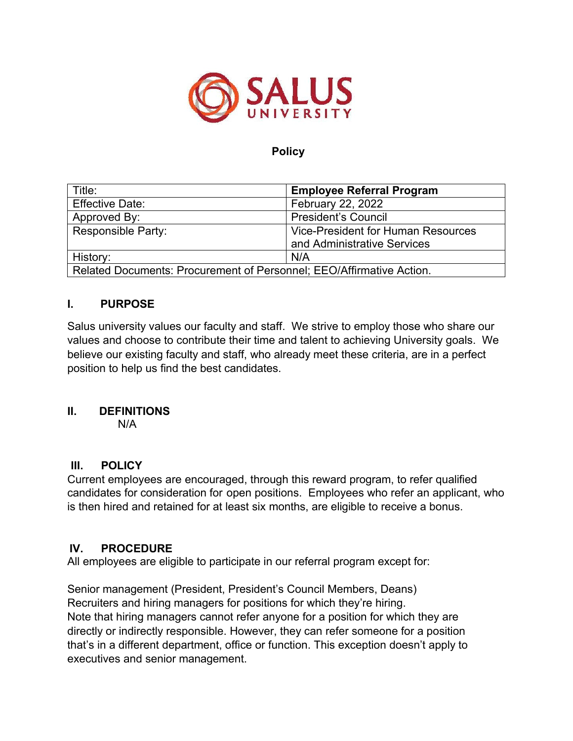

### **Policy**

| Title:                                                               | <b>Employee Referral Program</b>          |
|----------------------------------------------------------------------|-------------------------------------------|
| <b>Effective Date:</b>                                               | February 22, 2022                         |
| Approved By:                                                         | <b>President's Council</b>                |
| <b>Responsible Party:</b>                                            | <b>Vice-President for Human Resources</b> |
|                                                                      | and Administrative Services               |
| History:                                                             | N/A                                       |
| Related Documents: Procurement of Personnel; EEO/Affirmative Action. |                                           |

# **I. PURPOSE**

Salus university values our faculty and staff. We strive to employ those who share our values and choose to contribute their time and talent to achieving University goals. We believe our existing faculty and staff, who already meet these criteria, are in a perfect position to help us find the best candidates.

#### **II. DEFINITIONS**

N/A

# **III. POLICY**

Current employees are encouraged, through this reward program, to refer qualified candidates for consideration for open positions. Employees who refer an applicant, who is then hired and retained for at least six months, are eligible to receive a bonus.

# **IV. PROCEDURE**

All employees are eligible to participate in our referral program except for:

Senior management (President, President's Council Members, Deans) Recruiters and hiring managers for positions for which they're hiring. Note that hiring managers cannot refer anyone for a position for which they are directly or indirectly responsible. However, they can refer someone for a position that's in a different department, office or function. This exception doesn't apply to executives and senior management.